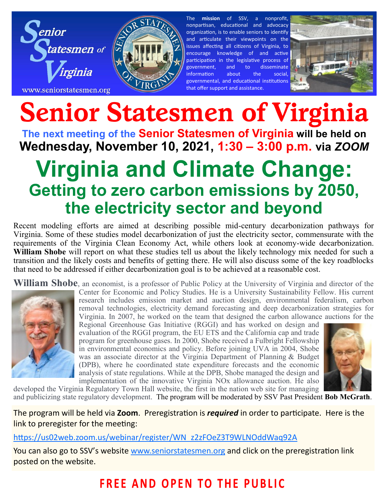



The **mission** of SSV, a nonprofit, nonpartisan, educational and advocacy organization, is to enable seniors to identify and articulate their viewpoints on the issues affecting all citizens of Virginia, to encourage knowledge of and active participation in the legislative process of government, and to disseminate information about the social, governmental, and educational institutions that offer support and assistance.



# **Senior Statesmen of Virginia**

**The next meeting of the Senior Statesmen of Virginia will be held on Wednesday, November 10, 2021, 1:30 – 3:00 p.m. via** *ZOOM*

## **Virginia and Climate Change: Getting to zero carbon emissions by 2050, the electricity sector and beyond**

Recent modeling efforts are aimed at describing possible mid-century decarbonization pathways for Virginia. Some of these studies model decarbonization of just the electricity sector, commensurate with the requirements of the Virginia Clean Economy Act, while others look at economy-wide decarbonization. **William Shobe** will report on what these studies tell us about the likely technology mix needed for such a transition and the likely costs and benefits of getting there. He will also discuss some of the key roadblocks that need to be addressed if either decarbonization goal is to be achieved at a reasonable cost.

William Shobe, an economist, is a professor of Public Policy at the University of Virginia and director of the



Center for Economic and Policy Studies. He is a University Sustainability Fellow. His current research includes emission market and auction design, environmental federalism, carbon removal technologies, electricity demand forecasting and deep decarbonization strategies for Virginia. In 2007, he worked on the team that designed the carbon allowance auctions for the

Regional Greenhouse Gas Initiative (RGGI) and has worked on design and evaluation of the RGGI program, the EU ETS and the California cap and trade program for greenhouse gases. In 2000, Shobe received a Fulbright Fellowship in environmental economics and policy. Before joining UVA in 2004, Shobe was an associate director at the Virginia Department of Planning & Budget (DPB), where he coordinated state expenditure forecasts and the economic analysis of state regulations. While at the DPB, Shobe managed the design and implementation of the innovative Virginia NOx allowance auction. He also



developed the Virginia Regulatory Town Hall website, the first in the nation web site for managing and publicizing state regulatory development. The program will be moderated by SSV Past President **Bob McGrath**.

The program will be held via **Zoom**. Preregistration is *required* in order to participate. Here is the link to preregister for the meeting:

[https://us02web.zoom.us/webinar/register/WN\\_z2zFOeZ3T9WLNOddWaq92A](https://us02web.zoom.us/webinar/register/WN_z2zFOeZ3T9WLNOddWaq92A)

You can also go to SSV's website [www.seniorstatesmen.org](http://www.seniorstatesmen.org) and click on the preregistration link posted on the website.

## **FREE AND OPEN TO THE PUBLIC**